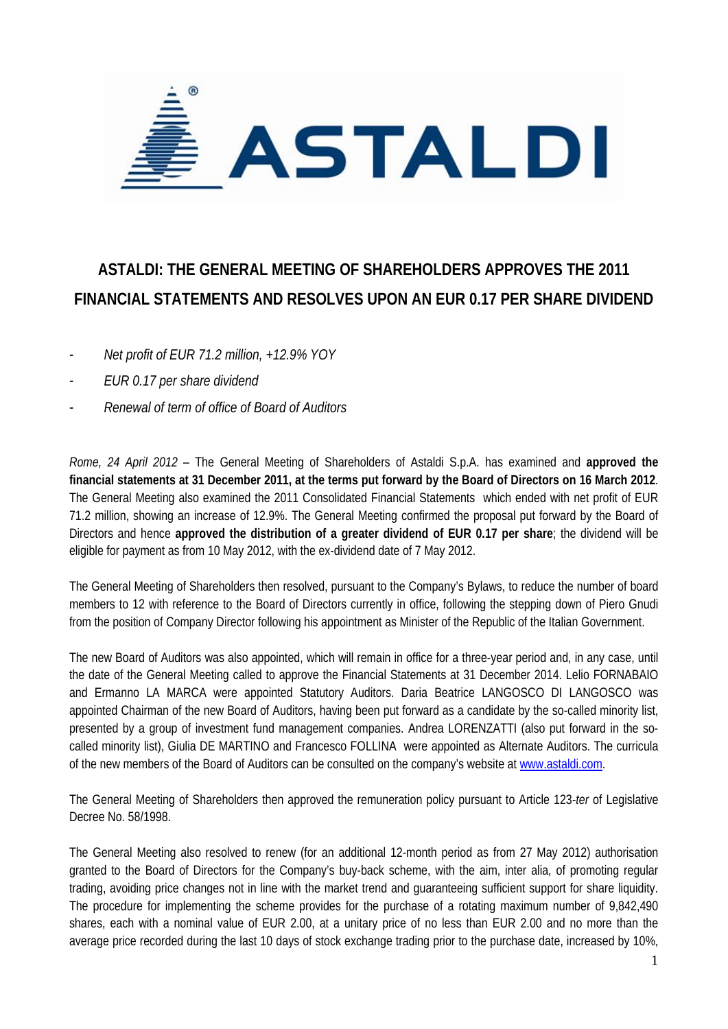

## **ASTALDI: THE GENERAL MEETING OF SHAREHOLDERS APPROVES THE 2011 FINANCIAL STATEMENTS AND RESOLVES UPON AN EUR 0.17 PER SHARE DIVIDEND**

- *Net profit of EUR 71.2 million, +12.9% YOY*
- *EUR 0.17 per share dividend*
- *Renewal of term of office of Board of Auditors*

*Rome, 24 April 2012* – The General Meeting of Shareholders of Astaldi S.p.A. has examined and **approved the financial statements at 31 December 2011, at the terms put forward by the Board of Directors on 16 March 2012**. The General Meeting also examined the 2011 Consolidated Financial Statements which ended with net profit of EUR 71.2 million, showing an increase of 12.9%. The General Meeting confirmed the proposal put forward by the Board of Directors and hence **approved the distribution of a greater dividend of EUR 0.17 per share**; the dividend will be eligible for payment as from 10 May 2012, with the ex-dividend date of 7 May 2012.

The General Meeting of Shareholders then resolved, pursuant to the Company's Bylaws, to reduce the number of board members to 12 with reference to the Board of Directors currently in office, following the stepping down of Piero Gnudi from the position of Company Director following his appointment as Minister of the Republic of the Italian Government.

The new Board of Auditors was also appointed, which will remain in office for a three-year period and, in any case, until the date of the General Meeting called to approve the Financial Statements at 31 December 2014. Lelio FORNABAIO and Ermanno LA MARCA were appointed Statutory Auditors. Daria Beatrice LANGOSCO DI LANGOSCO was appointed Chairman of the new Board of Auditors, having been put forward as a candidate by the so-called minority list, presented by a group of investment fund management companies. Andrea LORENZATTI (also put forward in the socalled minority list), Giulia DE MARTINO and Francesco FOLLINA were appointed as Alternate Auditors. The curricula of the new members of the Board of Auditors can be consulted on the company's website at www.astaldi.com.

The General Meeting of Shareholders then approved the remuneration policy pursuant to Article 123*-ter* of Legislative Decree No. 58/1998.

The General Meeting also resolved to renew (for an additional 12-month period as from 27 May 2012) authorisation granted to the Board of Directors for the Company's buy-back scheme, with the aim, inter alia, of promoting regular trading, avoiding price changes not in line with the market trend and guaranteeing sufficient support for share liquidity. The procedure for implementing the scheme provides for the purchase of a rotating maximum number of 9,842,490 shares, each with a nominal value of EUR 2.00, at a unitary price of no less than EUR 2.00 and no more than the average price recorded during the last 10 days of stock exchange trading prior to the purchase date, increased by 10%,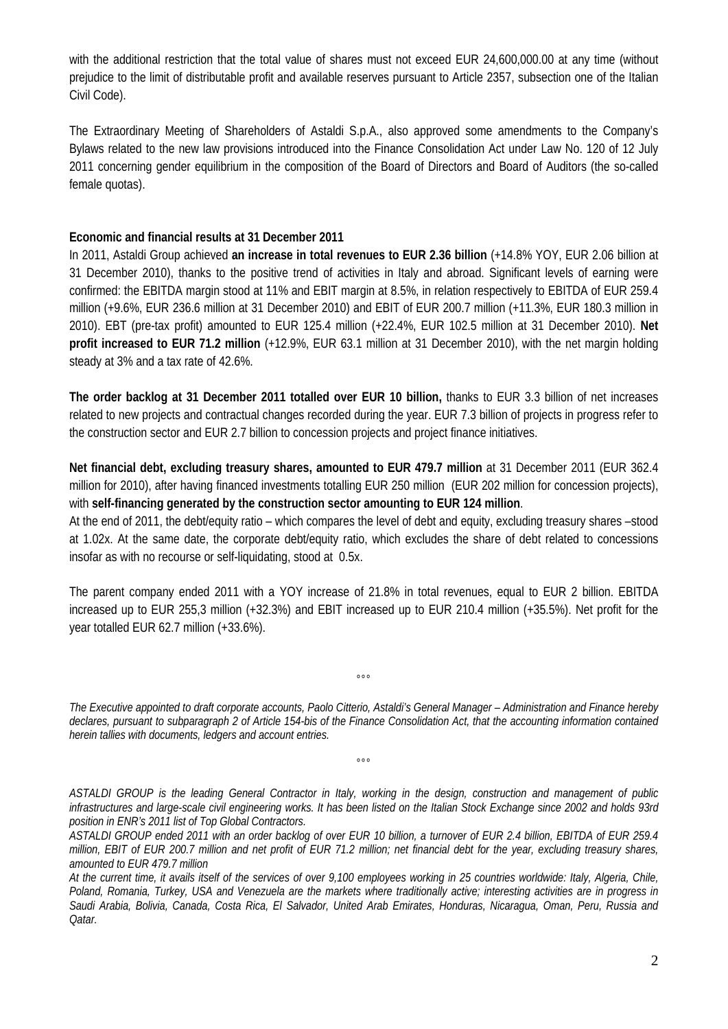with the additional restriction that the total value of shares must not exceed EUR 24,600,000.00 at any time (without prejudice to the limit of distributable profit and available reserves pursuant to Article 2357, subsection one of the Italian Civil Code).

The Extraordinary Meeting of Shareholders of Astaldi S.p.A., also approved some amendments to the Company's Bylaws related to the new law provisions introduced into the Finance Consolidation Act under Law No. 120 of 12 July 2011 concerning gender equilibrium in the composition of the Board of Directors and Board of Auditors (the so-called female quotas).

## **Economic and financial results at 31 December 2011**

In 2011, Astaldi Group achieved **an increase in total revenues to EUR 2.36 billion** (+14.8% YOY, EUR 2.06 billion at 31 December 2010), thanks to the positive trend of activities in Italy and abroad. Significant levels of earning were confirmed: the EBITDA margin stood at 11% and EBIT margin at 8.5%, in relation respectively to EBITDA of EUR 259.4 million (+9.6%, EUR 236.6 million at 31 December 2010) and EBIT of EUR 200.7 million (+11.3%, EUR 180.3 million in 2010). EBT (pre-tax profit) amounted to EUR 125.4 million (+22.4%, EUR 102.5 million at 31 December 2010). **Net profit increased to EUR 71.2 million** (+12.9%, EUR 63.1 million at 31 December 2010), with the net margin holding steady at 3% and a tax rate of 42.6%.

**The order backlog at 31 December 2011 totalled over EUR 10 billion,** thanks to EUR 3.3 billion of net increases related to new projects and contractual changes recorded during the year. EUR 7.3 billion of projects in progress refer to the construction sector and EUR 2.7 billion to concession projects and project finance initiatives.

**Net financial debt, excluding treasury shares, amounted to EUR 479.7 million** at 31 December 2011 (EUR 362.4 million for 2010), after having financed investments totalling EUR 250 million (EUR 202 million for concession projects), with **self-financing generated by the construction sector amounting to EUR 124 million**.

At the end of 2011, the debt/equity ratio – which compares the level of debt and equity, excluding treasury shares –stood at 1.02x. At the same date, the corporate debt/equity ratio, which excludes the share of debt related to concessions insofar as with no recourse or self-liquidating, stood at 0.5x.

The parent company ended 2011 with a YOY increase of 21.8% in total revenues, equal to EUR 2 billion. EBITDA increased up to EUR 255,3 million (+32.3%) and EBIT increased up to EUR 210.4 million (+35.5%). Net profit for the year totalled EUR 62.7 million (+33.6%).

*The Executive appointed to draft corporate accounts, Paolo Citterio, Astaldi's General Manager – Administration and Finance hereby declares, pursuant to subparagraph 2 of Article 154-bis of the Finance Consolidation Act, that the accounting information contained herein tallies with documents, ledgers and account entries.* 

 $000$ 

 $^{\circ}$ 

*ASTALDI GROUP is the leading General Contractor in Italy, working in the design, construction and management of public infrastructures and large-scale civil engineering works. It has been listed on the Italian Stock Exchange since 2002 and holds 93rd position in ENR's 2011 list of Top Global Contractors.* 

*ASTALDI GROUP ended 2011 with an order backlog of over EUR 10 billion, a turnover of EUR 2.4 billion, EBITDA of EUR 259.4 million, EBIT of EUR 200.7 million and net profit of EUR 71.2 million; net financial debt for the year, excluding treasury shares, amounted to EUR 479.7 million* 

*At the current time, it avails itself of the services of over 9,100 employees working in 25 countries worldwide: Italy, Algeria, Chile, Poland, Romania, Turkey, USA and Venezuela are the markets where traditionally active; interesting activities are in progress in Saudi Arabia, Bolivia, Canada, Costa Rica, El Salvador, United Arab Emirates, Honduras, Nicaragua, Oman, Peru, Russia and Qatar.*